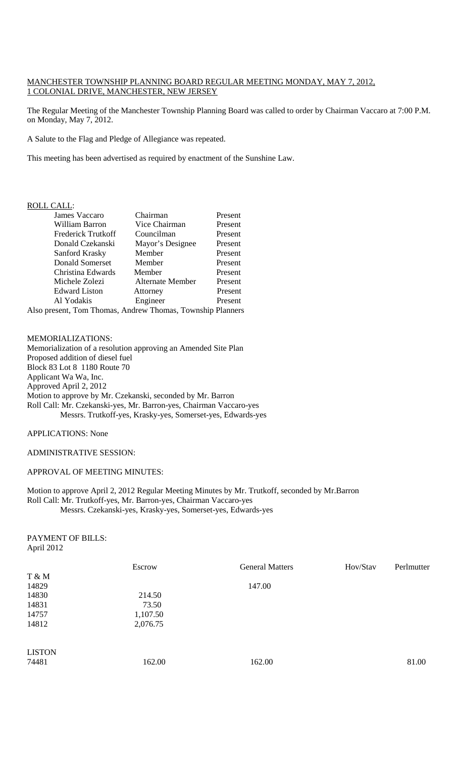## MANCHESTER TOWNSHIP PLANNING BOARD REGULAR MEETING MONDAY, MAY 7, 2012, 1 COLONIAL DRIVE, MANCHESTER, NEW JERSEY

The Regular Meeting of the Manchester Township Planning Board was called to order by Chairman Vaccaro at 7:00 P.M. on Monday, May 7, 2012.

A Salute to the Flag and Pledge of Allegiance was repeated.

This meeting has been advertised as required by enactment of the Sunshine Law.

### ROLL CALL:

| James Vaccaro        | Chairman         | Present |
|----------------------|------------------|---------|
| William Barron       | Vice Chairman    | Present |
| Frederick Trutkoff   | Councilman       | Present |
| Donald Czekanski     | Mayor's Designee | Present |
| Sanford Krasky       | Member           | Present |
| Donald Somerset      | Member           | Present |
| Christina Edwards    | Member           | Present |
| Michele Zolezi       | Alternate Member | Present |
| <b>Edward Liston</b> | Attorney         | Present |
| Al Yodakis           | Engineer         | Present |
|                      |                  |         |

Also present, Tom Thomas, Andrew Thomas, Township Planners

# MEMORIALIZATIONS:

Memorialization of a resolution approving an Amended Site Plan Proposed addition of diesel fuel Block 83 Lot 8 1180 Route 70 Applicant Wa Wa, Inc. Approved April 2, 2012 Motion to approve by Mr. Czekanski, seconded by Mr. Barron Roll Call: Mr. Czekanski-yes, Mr. Barron-yes, Chairman Vaccaro-yes Messrs. Trutkoff-yes, Krasky-yes, Somerset-yes, Edwards-yes

APPLICATIONS: None

# ADMINISTRATIVE SESSION:

### APPROVAL OF MEETING MINUTES:

Motion to approve April 2, 2012 Regular Meeting Minutes by Mr. Trutkoff, seconded by Mr.Barron Roll Call: Mr. Trutkoff-yes, Mr. Barron-yes, Chairman Vaccaro-yes Messrs. Czekanski-yes, Krasky-yes, Somerset-yes, Edwards-yes

PAYMENT OF BILLS: April 2012

|               | Escrow   | <b>General Matters</b> | Hov/Stav | Perlmutter |
|---------------|----------|------------------------|----------|------------|
| T & M         |          |                        |          |            |
| 14829         |          | 147.00                 |          |            |
| 14830         | 214.50   |                        |          |            |
| 14831         | 73.50    |                        |          |            |
| 14757         | 1,107.50 |                        |          |            |
| 14812         | 2,076.75 |                        |          |            |
| <b>LISTON</b> |          |                        |          |            |
| 74481         | 162.00   | 162.00                 |          | 81.00      |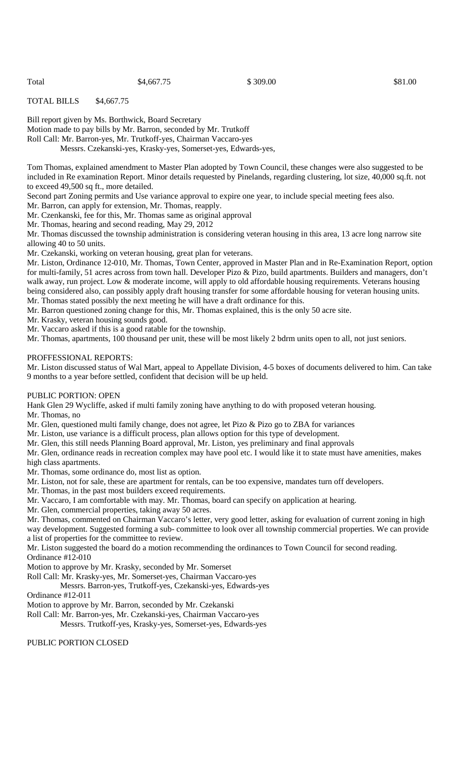TOTAL BILLS \$4,667.75

Bill report given by Ms. Borthwick, Board Secretary

Motion made to pay bills by Mr. Barron, seconded by Mr. Trutkoff

Roll Call: Mr. Barron-yes, Mr. Trutkoff-yes, Chairman Vaccaro-yes

Messrs. Czekanski-yes, Krasky-yes, Somerset-yes, Edwards-yes,

Tom Thomas, explained amendment to Master Plan adopted by Town Council, these changes were also suggested to be included in Re examination Report. Minor details requested by Pinelands, regarding clustering, lot size, 40,000 sq.ft. not to exceed 49,500 sq ft., more detailed.

Second part Zoning permits and Use variance approval to expire one year, to include special meeting fees also.

Mr. Barron, can apply for extension, Mr. Thomas, reapply.

Mr. Czenkanski, fee for this, Mr. Thomas same as original approval

Mr. Thomas, hearing and second reading, May 29, 2012

Mr. Thomas discussed the township administration is considering veteran housing in this area, 13 acre long narrow site allowing 40 to 50 units.

Mr. Czekanski, working on veteran housing, great plan for veterans.

Mr. Liston, Ordinance 12-010, Mr. Thomas, Town Center, approved in Master Plan and in Re-Examination Report, option for multi-family, 51 acres across from town hall. Developer Pizo & Pizo, build apartments. Builders and managers, don't walk away, run project. Low & moderate income, will apply to old affordable housing requirements. Veterans housing being considered also, can possibly apply draft housing transfer for some affordable housing for veteran housing units. Mr. Thomas stated possibly the next meeting he will have a draft ordinance for this.

Mr. Barron questioned zoning change for this, Mr. Thomas explained, this is the only 50 acre site.

Mr. Krasky, veteran housing sounds good.

Mr. Vaccaro asked if this is a good ratable for the township.

Mr. Thomas, apartments, 100 thousand per unit, these will be most likely 2 bdrm units open to all, not just seniors.

#### PROFFESSIONAL REPORTS:

Mr. Liston discussed status of Wal Mart, appeal to Appellate Division, 4-5 boxes of documents delivered to him. Can take 9 months to a year before settled, confident that decision will be up held.

#### PUBLIC PORTION: OPEN

Hank Glen 29 Wycliffe, asked if multi family zoning have anything to do with proposed veteran housing.

Mr. Thomas, no

Mr. Glen, questioned multi family change, does not agree, let Pizo & Pizo go to ZBA for variances

Mr. Liston, use variance is a difficult process, plan allows option for this type of development.

Mr. Glen, this still needs Planning Board approval, Mr. Liston, yes preliminary and final approvals

Mr. Glen, ordinance reads in recreation complex may have pool etc. I would like it to state must have amenities, makes

high class apartments.

Mr. Thomas, some ordinance do, most list as option.

Mr. Liston, not for sale, these are apartment for rentals, can be too expensive, mandates turn off developers.

Mr. Thomas, in the past most builders exceed requirements.

Mr. Vaccaro, I am comfortable with may. Mr. Thomas, board can specify on application at hearing.

Mr. Glen, commercial properties, taking away 50 acres.

Mr. Thomas, commented on Chairman Vaccaro's letter, very good letter, asking for evaluation of current zoning in high way development. Suggested forming a sub- committee to look over all township commercial properties. We can provide a list of properties for the committee to review.

Mr. Liston suggested the board do a motion recommending the ordinances to Town Council for second reading. Ordinance #12-010

Motion to approve by Mr. Krasky, seconded by Mr. Somerset

Roll Call: Mr. Krasky-yes, Mr. Somerset-yes, Chairman Vaccaro-yes

 Messrs. Barron-yes, Trutkoff-yes, Czekanski-yes, Edwards-yes Ordinance #12-011

Motion to approve by Mr. Barron, seconded by Mr. Czekanski

Roll Call: Mr. Barron-yes, Mr. Czekanski-yes, Chairman Vaccaro-yes

Messrs. Trutkoff-yes, Krasky-yes, Somerset-yes, Edwards-yes

PUBLIC PORTION CLOSED